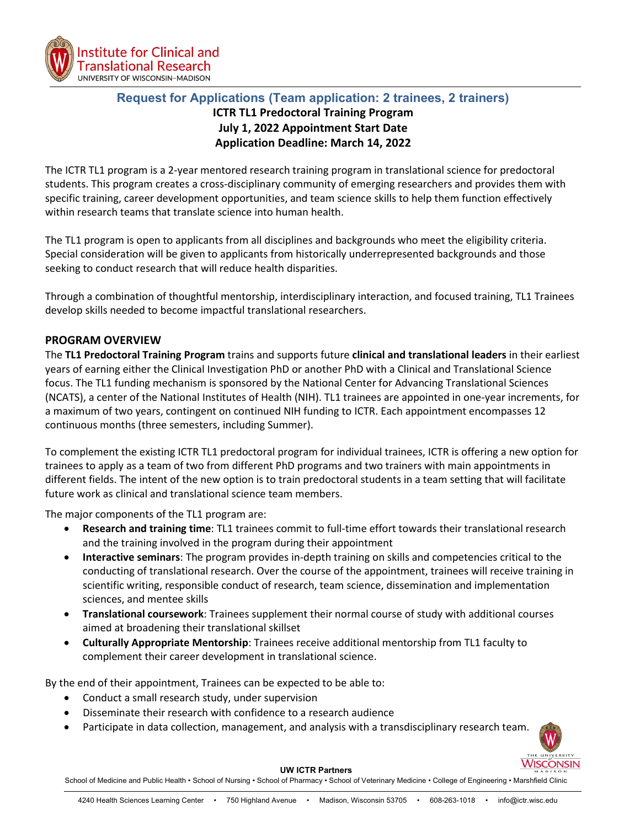

# **Request for Applications (Team application: 2 trainees, 2 trainers) ICTR TL1 Predoctoral Training Program July 1, 2022 Appointment Start Date Application Deadline: March 14, 2022**

The ICTR TL1 program is a 2-year mentored research training program in translational science for predoctoral students. This program creates a cross-disciplinary community of emerging researchers and provides them with specific training, career development opportunities, and team science skills to help them function effectively within research teams that translate science into human health.

The TL1 program is open to applicants from all disciplines and backgrounds who meet the eligibility criteria. Special consideration will be given to applicants from historically underrepresented backgrounds and those seeking to conduct research that will reduce health disparities.

Through a combination of thoughtful mentorship, interdisciplinary interaction, and focused training, TL1 Trainees develop skills needed to become impactful translational researchers.

## **PROGRAM OVERVIEW**

The **TL1 Predoctoral Training Program** trains and supports future **clinical and translational leaders** in their earliest years of earning either the Clinical Investigation PhD or another PhD with a Clinical and Translational Science focus. The TL1 funding mechanism is sponsored by the National Center for Advancing Translational Sciences (NCATS), a center of the National Institutes of Health (NIH). TL1 trainees are appointed in one-year increments, for a maximum of two years, contingent on continued NIH funding to ICTR. Each appointment encompasses 12 continuous months (three semesters, including Summer).

To complement the existing ICTR TL1 predoctoral program for individual trainees, ICTR is offering a new option for trainees to apply as a team of two from different PhD programs and two trainers with main appointments in different fields. The intent of the new option is to train predoctoral students in a team setting that will facilitate future work as clinical and translational science team members.

The major components of the TL1 program are:

- **Research and training time**: TL1 trainees commit to full-time effort towards their translational research and the training involved in the program during their appointment
- **Interactive seminars**: The program provides in-depth training on skills and competencies critical to the conducting of translational research. Over the course of the appointment, trainees will receive training in scientific writing, responsible conduct of research, team science, dissemination and implementation sciences, and mentee skills
- **Translational coursework**: Trainees supplement their normal course of study with additional courses aimed at broadening their translational skillset
- **Culturally Appropriate Mentorship**: Trainees receive additional mentorship from TL1 faculty to complement their career development in translational science.

By the end of their appointment, Trainees can be expected to be able to:

- Conduct a small research study, under supervision
- Disseminate their research with confidence to a research audience
- Participate in data collection, management, and analysis with a transdisciplinary research team.



#### **UW ICTR Partners**

School of Medicine and Public Health • School of Nursing • School of Pharmacy • School of Veterinary Medicine • College of Engineering • Marshfield Clinic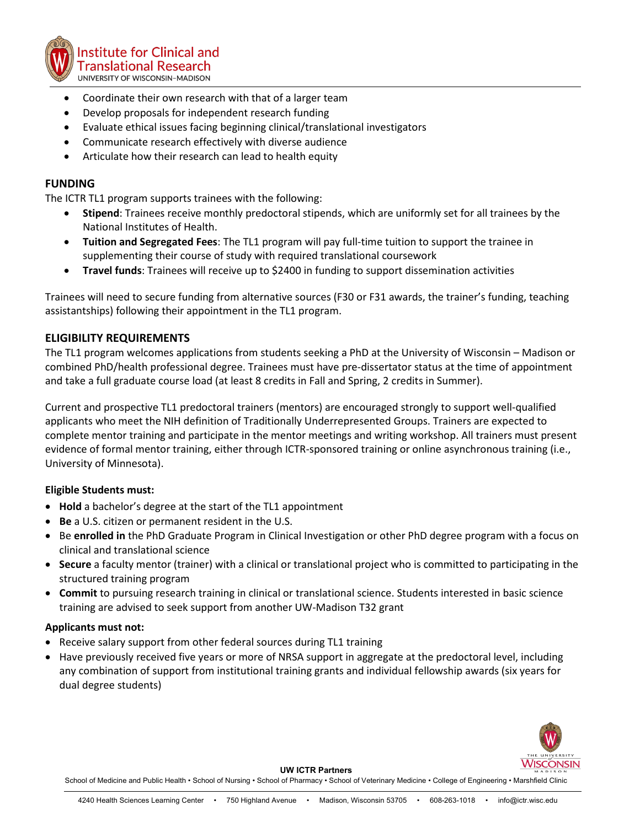

- Coordinate their own research with that of a larger team
- Develop proposals for independent research funding
- Evaluate ethical issues facing beginning clinical/translational investigators
- Communicate research effectively with diverse audience
- Articulate how their research can lead to health equity

### **FUNDING**

The ICTR TL1 program supports trainees with the following:

- **Stipend**: Trainees receive monthly predoctoral stipends, which are uniformly set for all trainees by the National Institutes of Health.
- **Tuition and Segregated Fees**: The TL1 program will pay full-time tuition to support the trainee in supplementing their course of study with required translational coursework
- **Travel funds**: Trainees will receive up to \$2400 in funding to support dissemination activities

Trainees will need to secure funding from alternative sources (F30 or F31 awards, the trainer's funding, teaching assistantships) following their appointment in the TL1 program.

### **ELIGIBILITY REQUIREMENTS**

The TL1 program welcomes applications from students seeking a PhD at the University of Wisconsin – Madison or combined PhD/health professional degree. Trainees must have pre-dissertator status at the time of appointment and take a full graduate course load (at least 8 credits in Fall and Spring, 2 credits in Summer).

Current and prospective TL1 predoctoral trainers (mentors) are encouraged strongly to support well-qualified applicants who meet the NIH definition of Traditionally Underrepresented Groups. Trainers are expected to complete mentor training and participate in the mentor meetings and writing workshop. All trainers must present evidence of formal mentor training, either through ICTR-sponsored training or online asynchronous training (i.e., University of Minnesota).

### **Eligible Students must:**

- **Hold** a bachelor's degree at the start of the TL1 appointment
- **Be** a U.S. citizen or permanent resident in the U.S.
- Be **enrolled in** the PhD Graduate Program in Clinical Investigation or other PhD degree program with a focus on clinical and translational science
- **Secure** a faculty mentor (trainer) with a clinical or translational project who is committed to participating in the structured training program
- **Commit** to pursuing research training in clinical or translational science. Students interested in basic science training are advised to seek support from another UW-Madison T32 grant

### **Applicants must not:**

- Receive salary support from other federal sources during TL1 training
- Have previously received five years or more of NRSA support in aggregate at the predoctoral level, including any combination of support from institutional training grants and individual fellowship awards (six years for dual degree students)



**UW ICTR Partners**

School of Medicine and Public Health • School of Nursing • School of Pharmacy • School of Veterinary Medicine • College of Engineering • Marshfield Clinic